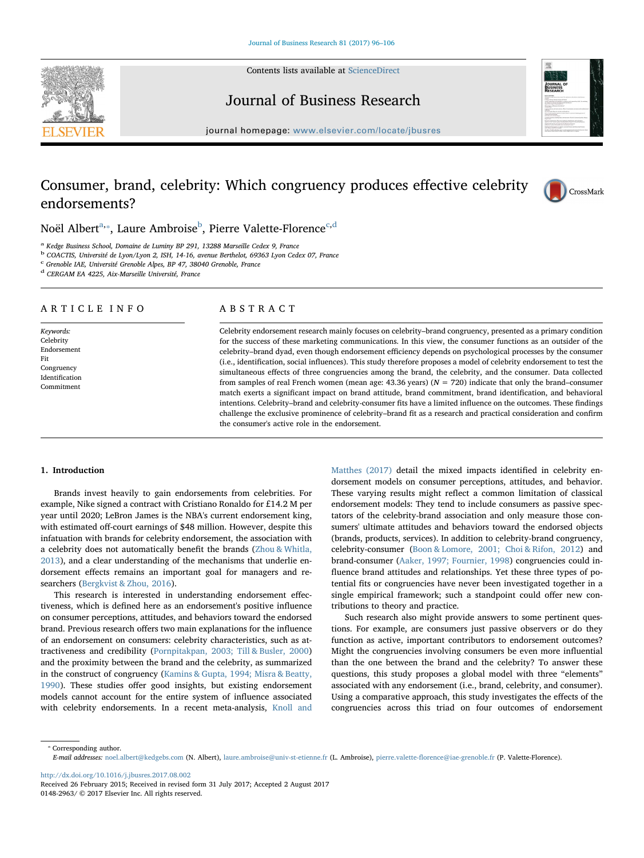Contents lists available at [ScienceDirect](http://www.sciencedirect.com/science/journal/01482963)





Journal of Business Research

journal homepage: [www.elsevier.com/locate/jbusres](http://www.elsevier.com/locate/jbusres)

## Consumer, brand, celebrity: Which congruency produces effective celebrity endorsements?



### Noël Albert<sup>a,</sup>\*, Laure Ambroise<sup>b</sup>, Pierre Valette-Florence<sup>c,d</sup>

<sup>a</sup> Kedge Business School, Domaine de Luminy BP 291, 13288 Marseille Cedex 9, France

<sup>b</sup> COACTIS, Université de Lyon/Lyon 2, ISH, 14-16, avenue Berthelot, 69363 Lyon Cedex 07, France

<sup>c</sup> Grenoble IAE, Université Grenoble Alpes, BP 47, 38040 Grenoble, France

<sup>d</sup> CERGAM EA 4225, Aix-Marseille Université, France

#### ARTICLE INFO

Keywords: Celebrity Endorsement Fit Congruency Identification Commitment

#### ABSTRACT

Celebrity endorsement research mainly focuses on celebrity–brand congruency, presented as a primary condition for the success of these marketing communications. In this view, the consumer functions as an outsider of the celebrity–brand dyad, even though endorsement efficiency depends on psychological processes by the consumer (i.e., identification, social influences). This study therefore proposes a model of celebrity endorsement to test the simultaneous effects of three congruencies among the brand, the celebrity, and the consumer. Data collected from samples of real French women (mean age: 43.36 years) ( $N = 720$ ) indicate that only the brand–consumer match exerts a significant impact on brand attitude, brand commitment, brand identification, and behavioral intentions. Celebrity–brand and celebrity-consumer fits have a limited influence on the outcomes. These findings challenge the exclusive prominence of celebrity–brand fit as a research and practical consideration and confirm the consumer's active role in the endorsement.

#### 1. Introduction

Brands invest heavily to gain endorsements from celebrities. For example, Nike signed a contract with Cristiano Ronaldo for £14.2 M per year until 2020; LeBron James is the NBA's current endorsement king, with estimated off-court earnings of \$48 million. However, despite this infatuation with brands for celebrity endorsement, the association with a celebrity does not automatically benefit the brands (Zhou & Whitla, 2013), and a clear understanding of the mechanisms that underlie endorsement effects remains an important goal for managers and researchers (Bergkvist & Zhou, 2016).

This research is interested in understanding endorsement effectiveness, which is defined here as an endorsement's positive influence on consumer perceptions, attitudes, and behaviors toward the endorsed brand. Previous research offers two main explanations for the influence of an endorsement on consumers: celebrity characteristics, such as attractiveness and credibility (Pornpitakpan, 2003; Till & Busler, 2000) and the proximity between the brand and the celebrity, as summarized in the construct of congruency (Kamins & Gupta, 1994; Misra & Beatty, 1990). These studies offer good insights, but existing endorsement models cannot account for the entire system of influence associated with celebrity endorsements. In a recent meta-analysis, Knoll and Matthes (2017) detail the mixed impacts identified in celebrity endorsement models on consumer perceptions, attitudes, and behavior. These varying results might reflect a common limitation of classical endorsement models: They tend to include consumers as passive spectators of the celebrity-brand association and only measure those consumers' ultimate attitudes and behaviors toward the endorsed objects (brands, products, services). In addition to celebrity-brand congruency, celebrity-consumer (Boon & Lomore, 2001; Choi & Rifon, 2012) and brand-consumer (Aaker, 1997; Fournier, 1998) congruencies could influence brand attitudes and relationships. Yet these three types of potential fits or congruencies have never been investigated together in a single empirical framework; such a standpoint could offer new contributions to theory and practice.

Such research also might provide answers to some pertinent questions. For example, are consumers just passive observers or do they function as active, important contributors to endorsement outcomes? Might the congruencies involving consumers be even more influential than the one between the brand and the celebrity? To answer these questions, this study proposes a global model with three "elements" associated with any endorsement (i.e., brand, celebrity, and consumer). Using a comparative approach, this study investigates the effects of the congruencies across this triad on four outcomes of endorsement

⁎ Corresponding author. E-mail addresses: [noel.albert@kedgebs.com](mailto:noel.albert@kedgebs.com) (N. Albert), [laure.ambroise@univ-st-etienne.fr](mailto:laure.ambroise@univ-st-etienne.fr) (L. Ambroise), pierre.valette-fl[orence@iae-grenoble.fr](mailto:pierre.valette-florence@iae-grenoble.fr) (P. Valette-Florence).

<http://dx.doi.org/10.1016/j.jbusres.2017.08.002>

Received 26 February 2015; Received in revised form 31 July 2017; Accepted 2 August 2017 0148-2963/ © 2017 Elsevier Inc. All rights reserved.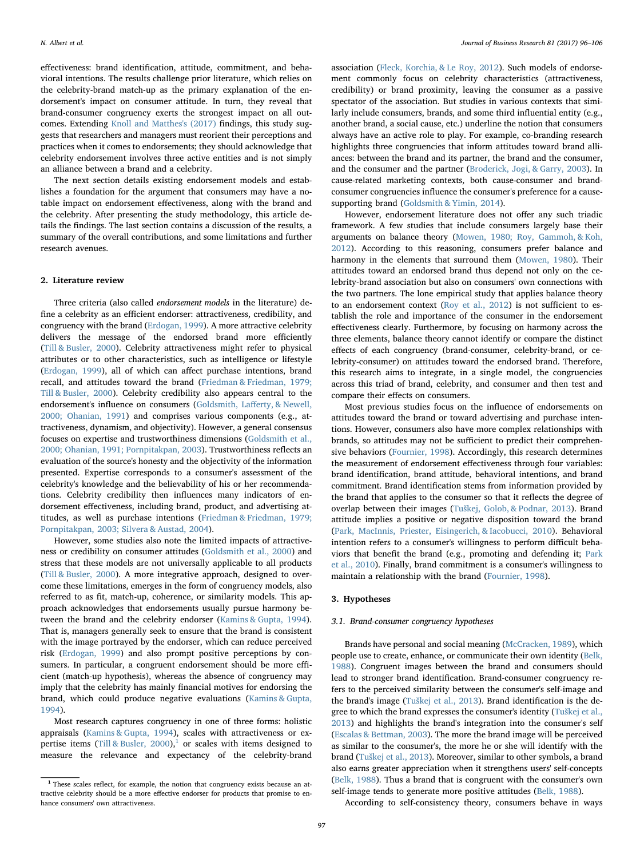effectiveness: brand identification, attitude, commitment, and behavioral intentions. The results challenge prior literature, which relies on the celebrity-brand match-up as the primary explanation of the endorsement's impact on consumer attitude. In turn, they reveal that brand-consumer congruency exerts the strongest impact on all outcomes. Extending Knoll and Matthes's (2017) findings, this study suggests that researchers and managers must reorient their perceptions and practices when it comes to endorsements; they should acknowledge that celebrity endorsement involves three active entities and is not simply an alliance between a brand and a celebrity.

The next section details existing endorsement models and establishes a foundation for the argument that consumers may have a notable impact on endorsement effectiveness, along with the brand and the celebrity. After presenting the study methodology, this article details the findings. The last section contains a discussion of the results, a summary of the overall contributions, and some limitations and further research avenues.

#### 2. Literature review

Three criteria (also called endorsement models in the literature) define a celebrity as an efficient endorser: attractiveness, credibility, and congruency with the brand (Erdogan, 1999). A more attractive celebrity delivers the message of the endorsed brand more efficiently (Till & Busler, 2000). Celebrity attractiveness might refer to physical attributes or to other characteristics, such as intelligence or lifestyle (Erdogan, 1999), all of which can affect purchase intentions, brand recall, and attitudes toward the brand (Friedman & Friedman, 1979; Till & Busler, 2000). Celebrity credibility also appears central to the endorsement's influence on consumers (Goldsmith, Lafferty, & Newell, 2000; Ohanian, 1991) and comprises various components (e.g., attractiveness, dynamism, and objectivity). However, a general consensus focuses on expertise and trustworthiness dimensions (Goldsmith et al., 2000; Ohanian, 1991; Pornpitakpan, 2003). Trustworthiness reflects an evaluation of the source's honesty and the objectivity of the information presented. Expertise corresponds to a consumer's assessment of the celebrity's knowledge and the believability of his or her recommendations. Celebrity credibility then influences many indicators of endorsement effectiveness, including brand, product, and advertising attitudes, as well as purchase intentions (Friedman & Friedman, 1979; Pornpitakpan, 2003; Silvera & Austad, 2004).

However, some studies also note the limited impacts of attractiveness or credibility on consumer attitudes (Goldsmith et al., 2000) and stress that these models are not universally applicable to all products (Till & Busler, 2000). A more integrative approach, designed to overcome these limitations, emerges in the form of congruency models, also referred to as fit, match-up, coherence, or similarity models. This approach acknowledges that endorsements usually pursue harmony between the brand and the celebrity endorser (Kamins & Gupta, 1994). That is, managers generally seek to ensure that the brand is consistent with the image portrayed by the endorser, which can reduce perceived risk (Erdogan, 1999) and also prompt positive perceptions by consumers. In particular, a congruent endorsement should be more efficient (match-up hypothesis), whereas the absence of congruency may imply that the celebrity has mainly financial motives for endorsing the brand, which could produce negative evaluations (Kamins & Gupta, 1994).

Most research captures congruency in one of three forms: holistic appraisals (Kamins & Gupta, 1994), scales with attractiveness or expertise items (Till & Busler, 2000),<sup>1</sup> or scales with items designed to measure the relevance and expectancy of the celebrity-brand

association (Fleck, Korchia, & Le Roy, 2012). Such models of endorsement commonly focus on celebrity characteristics (attractiveness, credibility) or brand proximity, leaving the consumer as a passive spectator of the association. But studies in various contexts that similarly include consumers, brands, and some third influential entity (e.g., another brand, a social cause, etc.) underline the notion that consumers always have an active role to play. For example, co-branding research highlights three congruencies that inform attitudes toward brand alliances: between the brand and its partner, the brand and the consumer, and the consumer and the partner (Broderick, Jogi, & Garry, 2003). In cause-related marketing contexts, both cause-consumer and brandconsumer congruencies influence the consumer's preference for a causesupporting brand (Goldsmith & Yimin, 2014).

However, endorsement literature does not offer any such triadic framework. A few studies that include consumers largely base their arguments on balance theory (Mowen, 1980; Roy, Gammoh, & Koh, 2012). According to this reasoning, consumers prefer balance and harmony in the elements that surround them (Mowen, 1980). Their attitudes toward an endorsed brand thus depend not only on the celebrity-brand association but also on consumers' own connections with the two partners. The lone empirical study that applies balance theory to an endorsement context (Roy et al., 2012) is not sufficient to establish the role and importance of the consumer in the endorsement effectiveness clearly. Furthermore, by focusing on harmony across the three elements, balance theory cannot identify or compare the distinct effects of each congruency (brand-consumer, celebrity-brand, or celebrity-consumer) on attitudes toward the endorsed brand. Therefore, this research aims to integrate, in a single model, the congruencies across this triad of brand, celebrity, and consumer and then test and compare their effects on consumers.

Most previous studies focus on the influence of endorsements on attitudes toward the brand or toward advertising and purchase intentions. However, consumers also have more complex relationships with brands, so attitudes may not be sufficient to predict their comprehensive behaviors (Fournier, 1998). Accordingly, this research determines the measurement of endorsement effectiveness through four variables: brand identification, brand attitude, behavioral intentions, and brand commitment. Brand identification stems from information provided by the brand that applies to the consumer so that it reflects the degree of overlap between their images (Tuškej, Golob, & Podnar, 2013). Brand attitude implies a positive or negative disposition toward the brand (Park, MacInnis, Priester, Eisingerich, & Iacobucci, 2010). Behavioral intention refers to a consumer's willingness to perform difficult behaviors that benefit the brand (e.g., promoting and defending it; Park et al., 2010). Finally, brand commitment is a consumer's willingness to maintain a relationship with the brand (Fournier, 1998).

#### 3. Hypotheses

#### 3.1. Brand-consumer congruency hypotheses

Brands have personal and social meaning (McCracken, 1989), which people use to create, enhance, or communicate their own identity (Belk, 1988). Congruent images between the brand and consumers should lead to stronger brand identification. Brand-consumer congruency refers to the perceived similarity between the consumer's self-image and the brand's image (Tuškej et al., 2013). Brand identification is the degree to which the brand expresses the consumer's identity (Tuškej et al., 2013) and highlights the brand's integration into the consumer's self (Escalas & Bettman, 2003). The more the brand image will be perceived as similar to the consumer's, the more he or she will identify with the brand (Tuškej et al., 2013). Moreover, similar to other symbols, a brand also earns greater appreciation when it strengthens users' self-concepts (Belk, 1988). Thus a brand that is congruent with the consumer's own self-image tends to generate more positive attitudes (Belk, 1988).

According to self-consistency theory, consumers behave in ways

<sup>&</sup>lt;sup>1</sup> These scales reflect, for example, the notion that congruency exists because an attractive celebrity should be a more effective endorser for products that promise to enhance consumers' own attractiveness.